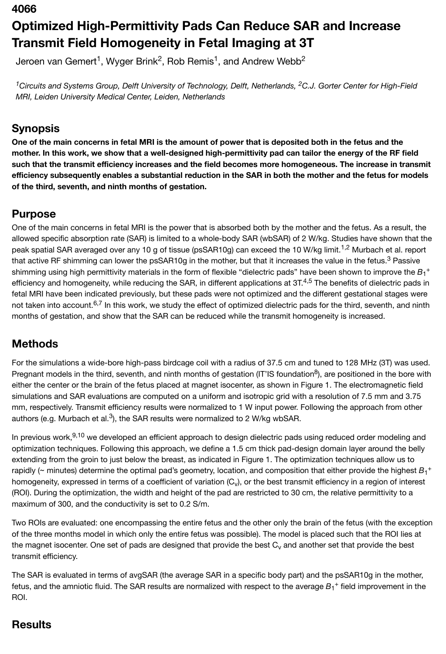# **4066 Optimized High-Permittivity Pads Can Reduce SAR and Increase Transmit Field Homogeneity in Fetal Imaging at 3T**

Jeroen van Gemert<sup>1</sup>, Wyger Brink<sup>2</sup>, Rob Remis<sup>1</sup>, and Andrew Webb<sup>2</sup>

<sup>1</sup> Circuits and Systems Group, Delft University of Technology, Delft, Netherlands, <sup>2</sup>C.J. Gorter Center for High-Field *MRI, Leiden University Medical Center, Leiden, Netherlands*

### **Synopsis**

**One of the main concerns in fetal MRI is the amount of power that is deposited both in the fetus and the mother. In this work, we show that a well-designed high-permittivity pad can tailor the energy of the RF field such that the transmit efficiency increases and the field becomes more homogeneous. The increase in transmit efficiency subsequently enables a substantial reduction in the SAR in both the mother and the fetus for models of the third, seventh, and ninth months of gestation.**

## **Purpose**

One of the main concerns in fetal MRI is the power that is absorbed both by the mother and the fetus. As a result, the allowed specific absorption rate (SAR) is limited to a whole-body SAR (wbSAR) of 2 W/kg. Studies have shown that the peak spatial SAR averaged over any 10 g of tissue (psSAR10g) can exceed the 10 W/kg limit.<sup>1,2</sup> Murbach et al. report that active RF shimming can lower the psSAR10g in the mother, but that it increases the value in the fetus.<sup>3</sup> Passive shimming using high permittivity materials in the form of flexible "dielectric pads" have been shown to improve the  $B_1^+$ efficiency and homogeneity, while reducing the SAR, in different applications at 3T.<sup>4,5</sup> The benefits of dielectric pads in fetal MRI have been indicated previously, but these pads were not optimized and the different gestational stages were not taken into account.<sup>6,7</sup> In this work, we study the effect of optimized dielectric pads for the third, seventh, and ninth months of gestation, and show that the SAR can be reduced while the transmit homogeneity is increased.

## **Methods**

For the simulations a wide-bore high-pass birdcage coil with a radius of 37.5 cm and tuned to 128 MHz (3T) was used. Pregnant models in the third, seventh, and ninth months of gestation (IT'IS foundation<sup>8</sup>), are positioned in the bore with either the center or the brain of the fetus placed at magnet isocenter, as shown in Figure 1. The electromagnetic field simulations and SAR evaluations are computed on a uniform and isotropic grid with a resolution of 7.5 mm and 3.75 mm, respectively. Transmit efficiency results were normalized to 1 W input power. Following the approach from other authors (e.g. Murbach et al.<sup>3</sup>), the SAR results were normalized to 2 W/kg wbSAR.

In previous work,<sup>9,10</sup> we developed an efficient approach to design dielectric pads using reduced order modeling and optimization techniques. Following this approach, we define a 1.5 cm thick pad-design domain layer around the belly extending from the groin to just below the breast, as indicated in Figure 1. The optimization techniques allow us to rapidly (~ minutes) determine the optimal pad's geometry, location, and composition that either provide the highest  $B_1^+$ homogeneity, expressed in terms of a coefficient of variation (C<sub>v</sub>), or the best transmit efficiency in a region of interest (ROI). During the optimization, the width and height of the pad are restricted to 30 cm, the relative permittivity to a maximum of 300, and the conductivity is set to 0.2 S/m.

Two ROIs are evaluated: one encompassing the entire fetus and the other only the brain of the fetus (with the exception of the three months model in which only the entire fetus was possible). The model is placed such that the ROI lies at the magnet isocenter. One set of pads are designed that provide the best  $\rm C_{v}$  and another set that provide the best transmit efficiency.

The SAR is evaluated in terms of avgSAR (the average SAR in a specific body part) and the psSAR10g in the mother, fetus, and the amniotic fluid. The SAR results are normalized with respect to the average  $B_1{}^+$  field improvement in the ROI.

### **Results**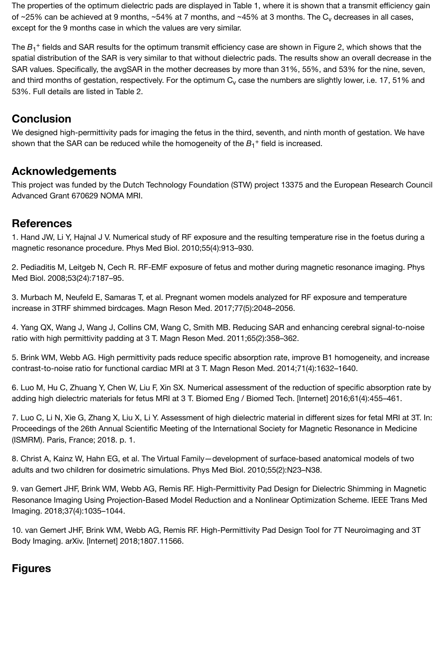The properties of the optimum dielectric pads are displayed in Table 1, where it is shown that a transmit efficiency gain of ~25% can be achieved at 9 months, ~54% at 7 months, and ~45% at 3 months. The  $\rm C_{v}$  decreases in all cases, except for the 9 months case in which the values are very similar.

The  $B_1^+$  fields and SAR results for the optimum transmit efficiency case are shown in Figure 2, which shows that the spatial distribution of the SAR is very similar to that without dielectric pads. The results show an overall decrease in the SAR values. Specifically, the avgSAR in the mother decreases by more than 31%, 55%, and 53% for the nine, seven, and third months of gestation, respectively. For the optimum  $\rm C_{v}$  case the numbers are slightly lower, i.e. 17, 51% and 53%. Full details are listed in Table 2.

#### **Conclusion**

We designed high-permittivity pads for imaging the fetus in the third, seventh, and ninth month of gestation. We have shown that the SAR can be reduced while the homogeneity of the  $B_1^+$  field is increased.

#### **Acknowledgements**

This project was funded by the Dutch Technology Foundation (STW) project 13375 and the European Research Council Advanced Grant 670629 NOMA MRI.

#### **References**

1. Hand JW, Li Y, Hajnal J V. Numerical study of RF exposure and the resulting temperature rise in the foetus during a magnetic resonance procedure. Phys Med Biol. 2010;55(4):913–930.

2. Pediaditis M, Leitgeb N, Cech R. RF-EMF exposure of fetus and mother during magnetic resonance imaging. Phys Med Biol. 2008;53(24):7187–95.

3. Murbach M, Neufeld E, Samaras T, et al. Pregnant women models analyzed for RF exposure and temperature increase in 3TRF shimmed birdcages. Magn Reson Med. 2017;77(5):2048–2056.

4. Yang QX, Wang J, Wang J, Collins CM, Wang C, Smith MB. Reducing SAR and enhancing cerebral signal-to-noise ratio with high permittivity padding at 3 T. Magn Reson Med. 2011;65(2):358–362.

5. Brink WM, Webb AG. High permittivity pads reduce specific absorption rate, improve B1 homogeneity, and increase contrast-to-noise ratio for functional cardiac MRI at 3 T. Magn Reson Med. 2014;71(4):1632–1640.

6. Luo M, Hu C, Zhuang Y, Chen W, Liu F, Xin SX. Numerical assessment of the reduction of specific absorption rate by adding high dielectric materials for fetus MRI at 3 T. Biomed Eng / Biomed Tech. [Internet] 2016;61(4):455–461.

7. Luo C, Li N, Xie G, Zhang X, Liu X, Li Y. Assessment of high dielectric material in different sizes for fetal MRI at 3T. In: Proceedings of the 26th Annual Scientific Meeting of the International Society for Magnetic Resonance in Medicine (ISMRM). Paris, France; 2018. p. 1.

8. Christ A, Kainz W, Hahn EG, et al. The Virtual Family—development of surface-based anatomical models of two adults and two children for dosimetric simulations. Phys Med Biol. 2010;55(2):N23–N38.

9. van Gemert JHF, Brink WM, Webb AG, Remis RF. High-Permittivity Pad Design for Dielectric Shimming in Magnetic Resonance Imaging Using Projection-Based Model Reduction and a Nonlinear Optimization Scheme. IEEE Trans Med Imaging. 2018;37(4):1035–1044.

10. van Gemert JHF, Brink WM, Webb AG, Remis RF. High-Permittivity Pad Design Tool for 7T Neuroimaging and 3T Body Imaging. arXiv. [Internet] 2018;1807.11566.

### **Figures**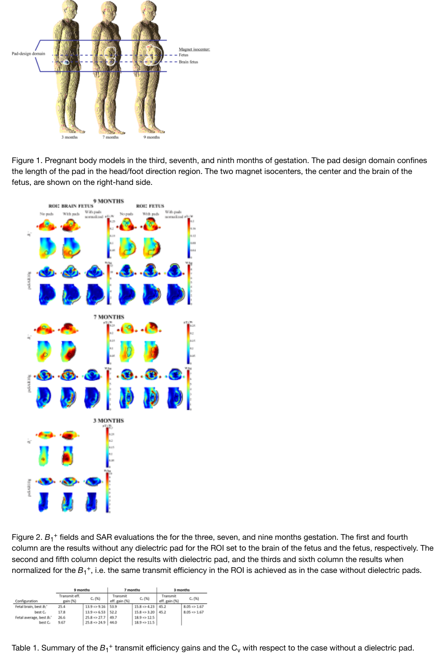

[Figure 1. Pregnant body models in the third, seventh, an](https://index.mirasmart.com/ISMRM2019/PDFfiles/images/1606/ISMRM2019-001606_Fig1.png)d ninth months of gestation. The pad design domain confines the length of the pad in the head/foot direction region. The two magnet isocenters, the center and the brain of the fetus, are shown on the right-hand side.



Figure 2.  $B_1$ <sup>+</sup> [fields and SAR evaluations the for the three](https://index.mirasmart.com/ISMRM2019/PDFfiles/images/1606/ISMRM2019-001606_Fig2.png), seven, and nine months gestation. The first and fourth column are the results without any dielectric pad for the ROI set to the brain of the fetus and the fetus, respectively. The second and fifth column depict the results with dielectric pad, and the thirds and sixth column the results when normalized for the  $B_1^+$ , i.e. the same transmit efficiency in the ROI is achieved as in the case without dielectric pads.

|                                   | 9 months                  |                                | 7 months                  |                         | 3 months                  |                         |
|-----------------------------------|---------------------------|--------------------------------|---------------------------|-------------------------|---------------------------|-------------------------|
| Configuration                     | Transmit eff.<br>gain (%) | $C_v(96)$                      | Transmit<br>eff. gain (%) | $C_{v}$ (%)             | Transmit<br>eff. gain (%) | $C_{v}$ (%)             |
| Fetal brain, best B1 <sup>+</sup> | 25.4                      | $13.9 = 9.16$ 53.9             |                           | $15.8 \Rightarrow 4.23$ | 45.2                      | $8.05 \Rightarrow 1.67$ |
| best C.                           | 17.8                      | $13.9 \Rightarrow 6.53$   52.2 |                           | $15.8 \Rightarrow 3.20$ | 45.2                      | $8.05 \Rightarrow 1.67$ |
| Fetal average, best B:"           | 26.6                      | $25.8 \Rightarrow 27.7$        | 49.7                      | $18.9 \Rightarrow 12.5$ |                           |                         |
| best C.                           | 9.67                      | $25.8 \Rightarrow 24.9$ 44.0   |                           | $18.9 \Rightarrow 11.5$ |                           |                         |

[Table 1. Summary of the](https://index.mirasmart.com/ISMRM2019/PDFfiles/images/1606/ISMRM2019-001606_Fig3.png)  $B_1^+$  transmit efficiency gains and the  $C_v$  with respect to the case without a dielectric pad.